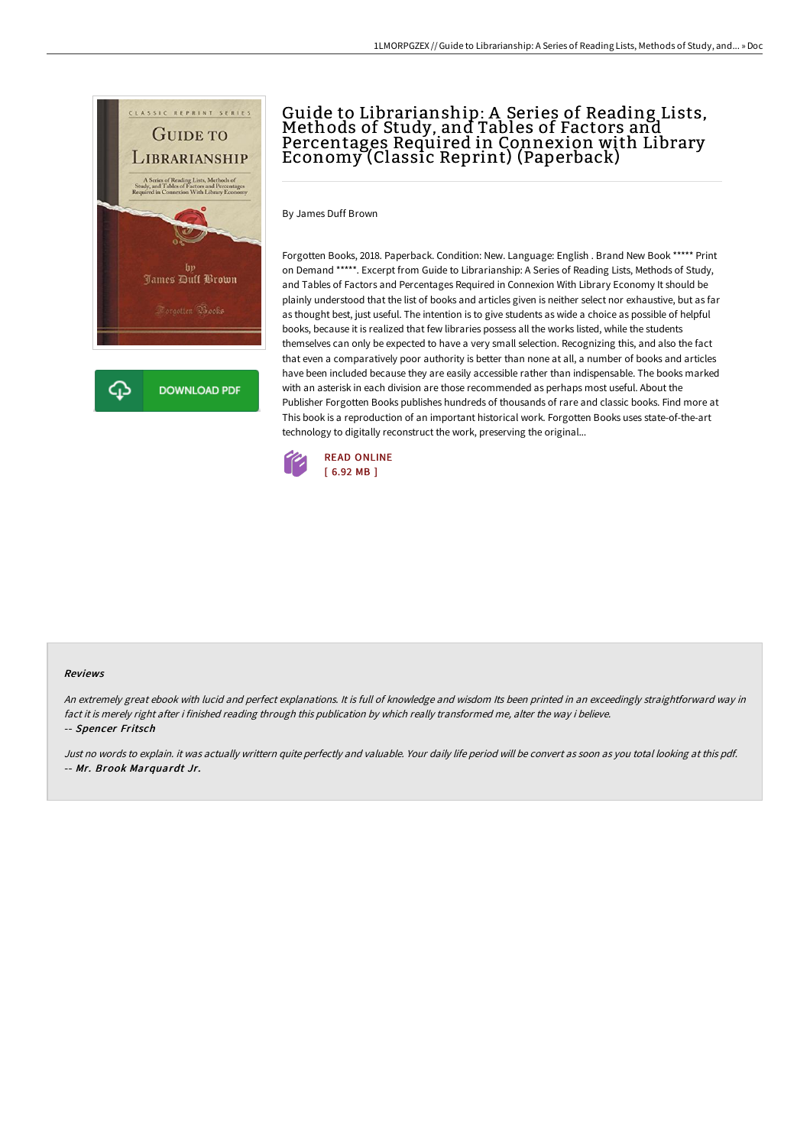

# Guide to Librarianship: A Series of Reading Lists,<br>Methods of Study, and Tables of Factors and Percentages Required in Connexion with Library Economy (Classic Reprint) (Paperback)

By James Duff Brown

Forgotten Books, 2018. Paperback. Condition: New. Language: English . Brand New Book \*\*\*\*\* Print on Demand \*\*\*\*\*. Excerpt from Guide to Librarianship: A Series of Reading Lists, Methods of Study, and Tables of Factors and Percentages Required in Connexion With Library Economy It should be plainly understood that the list of books and articles given is neither select nor exhaustive, but as far as thought best, just useful. The intention is to give students as wide a choice as possible of helpful books, because it is realized that few libraries possess all the works listed, while the students themselves can only be expected to have a very small selection. Recognizing this, and also the fact that even a comparatively poor authority is better than none at all, a number of books and articles have been included because they are easily accessible rather than indispensable. The books marked with an asterisk in each division are those recommended as perhaps most useful. About the Publisher Forgotten Books publishes hundreds of thousands of rare and classic books. Find more at This book is a reproduction of an important historical work. Forgotten Books uses state-of-the-art technology to digitally reconstruct the work, preserving the original...



#### Reviews

An extremely great ebook with lucid and perfect explanations. It is full of knowledge and wisdom Its been printed in an exceedingly straightforward way in fact it is merely right after i finished reading through this publication by which really transformed me, alter the way i believe. -- Spencer Fritsch

Just no words to explain. it was actually writtern quite perfectly and valuable. Your daily life period will be convert as soon as you total looking at this pdf. -- Mr. Brook Marquardt Jr.